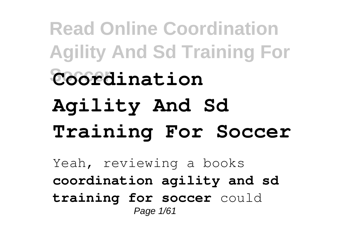**Read Online Coordination Agility And Sd Training For Soccer Coordination Agility And Sd Training For Soccer** Yeah, reviewing a books **coordination agility and sd training for soccer** could Page 1/61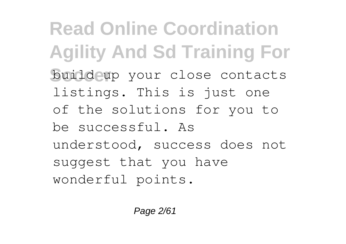**Read Online Coordination Agility And Sd Training For Soccer** build up your close contacts listings. This is just one of the solutions for you to be successful. As understood, success does not suggest that you have wonderful points.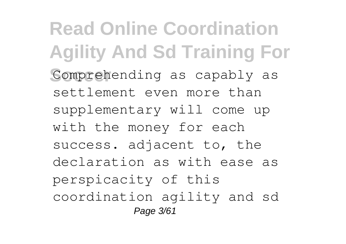**Read Online Coordination Agility And Sd Training For** Comprehending as capably as settlement even more than supplementary will come up with the money for each success. adjacent to, the declaration as with ease as perspicacity of this coordination agility and sd Page 3/61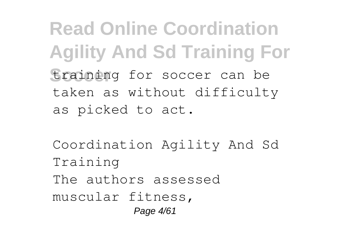**Read Online Coordination Agility And Sd Training For** training for soccer can be taken as without difficulty as picked to act.

Coordination Agility And Sd Training The authors assessed muscular fitness, Page 4/61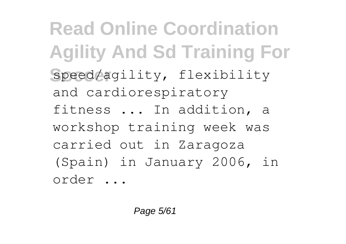**Read Online Coordination Agility And Sd Training For Soccer** speed/agility, flexibility and cardiorespiratory fitness ... In addition, a workshop training week was carried out in Zaragoza (Spain) in January 2006, in order ...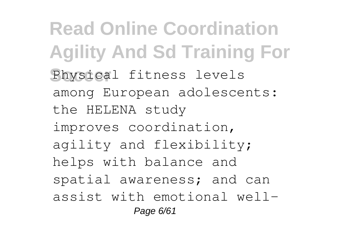**Read Online Coordination Agility And Sd Training For** Physical fitness levels among European adolescents: the HELENA study improves coordination, agility and flexibility; helps with balance and spatial awareness; and can assist with emotional well-Page 6/61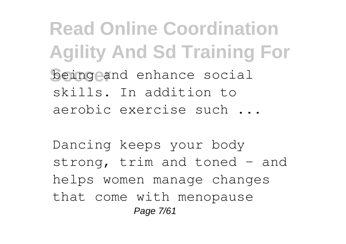**Read Online Coordination Agility And Sd Training For Soccer** being and enhance social skills. In addition to aerobic exercise such ...

Dancing keeps your body strong, trim and toned – and helps women manage changes that come with menopause Page 7/61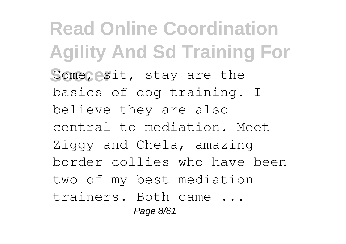**Read Online Coordination Agility And Sd Training For** Come, esit, stay are the basics of dog training. I believe they are also central to mediation. Meet Ziggy and Chela, amazing border collies who have been two of my best mediation trainers. Both came ... Page 8/61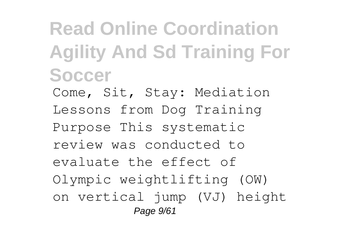## **Read Online Coordination Agility And Sd Training For Soccer**

Come, Sit, Stay: Mediation Lessons from Dog Training Purpose This systematic review was conducted to evaluate the effect of Olympic weightlifting (OW) on vertical jump (VJ) height Page  $9/61$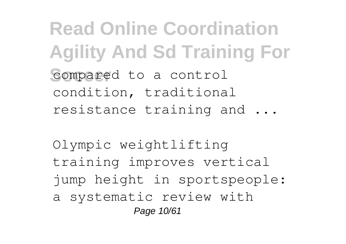**Read Online Coordination Agility And Sd Training For** compared to a control condition, traditional resistance training and ...

Olympic weightlifting training improves vertical jump height in sportspeople: a systematic review with Page 10/61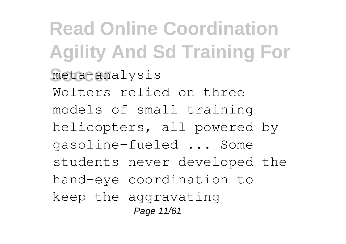**Read Online Coordination Agility And Sd Training For Soccer** meta-analysis Wolters relied on three models of small training helicopters, all powered by gasoline-fueled ... Some students never developed the hand-eye coordination to keep the aggravating Page 11/61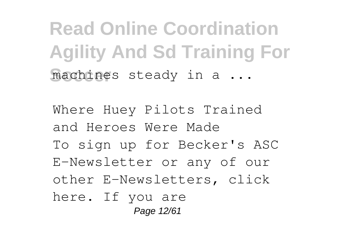**Read Online Coordination Agility And Sd Training For** machines steady in a ...

Where Huey Pilots Trained and Heroes Were Made To sign up for Becker's ASC E-Newsletter or any of our other E-Newsletters, click here. If you are Page 12/61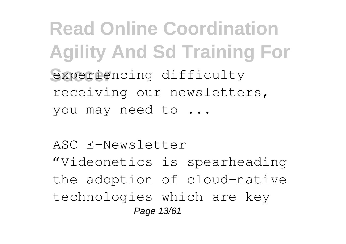**Read Online Coordination Agility And Sd Training For** experiencing difficulty receiving our newsletters, you may need to ...

ASC E-Newsletter "Videonetics is spearheading the adoption of cloud-native technologies which are key Page 13/61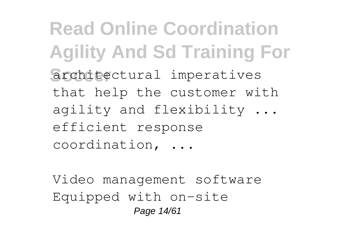**Read Online Coordination Agility And Sd Training For** architectural imperatives that help the customer with agility and flexibility ... efficient response coordination, ...

Video management software Equipped with on-site Page 14/61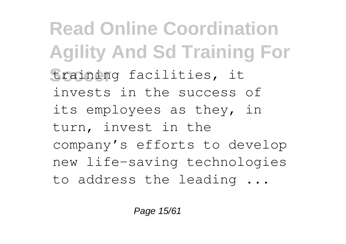**Read Online Coordination Agility And Sd Training For Soccer** training facilities, it invests in the success of its employees as they, in turn, invest in the company's efforts to develop new life-saving technologies to address the leading ...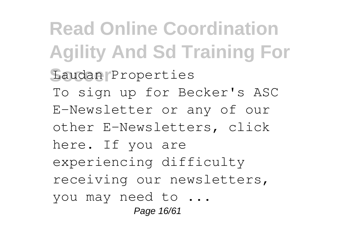**Read Online Coordination Agility And Sd Training For Soccer** Laudan Properties To sign up for Becker's ASC E-Newsletter or any of our other E-Newsletters, click here. If you are experiencing difficulty receiving our newsletters, you may need to ... Page 16/61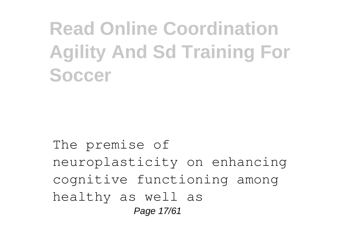# **Read Online Coordination Agility And Sd Training For Soccer**

#### The premise of neuroplasticity on enhancing cognitive functioning among healthy as well as Page 17/61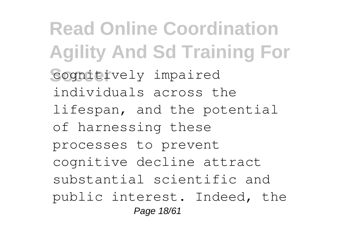**Read Online Coordination Agility And Sd Training For Cognitively** impaired individuals across the lifespan, and the potential of harnessing these processes to prevent cognitive decline attract substantial scientific and public interest. Indeed, the Page 18/61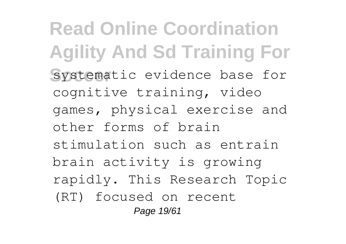**Read Online Coordination Agility And Sd Training For** systematic evidence base for cognitive training, video games, physical exercise and other forms of brain stimulation such as entrain brain activity is growing rapidly. This Research Topic (RT) focused on recent Page 19/61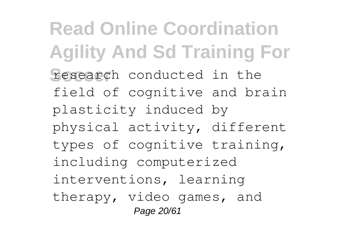**Read Online Coordination Agility And Sd Training For** research conducted in the field of cognitive and brain plasticity induced by physical activity, different types of cognitive training, including computerized interventions, learning therapy, video games, and Page 20/61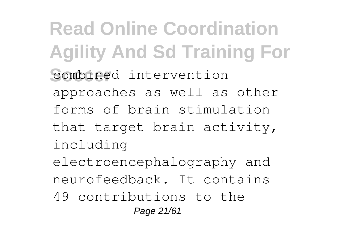**Read Online Coordination Agility And Sd Training For** combined intervention approaches as well as other forms of brain stimulation that target brain activity, including electroencephalography and neurofeedback. It contains 49 contributions to the Page 21/61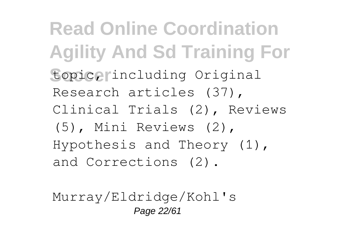**Read Online Coordination Agility And Sd Training For Soccer** topic, including Original Research articles (37), Clinical Trials (2), Reviews (5), Mini Reviews (2), Hypothesis and Theory (1), and Corrections (2).

Murray/Eldridge/Kohl's Page 22/61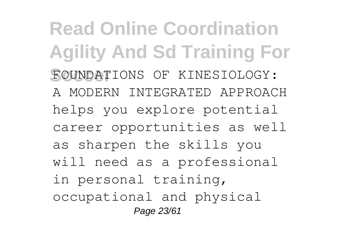**Read Online Coordination Agility And Sd Training For** FOUNDATIONS OF KINESIOLOGY: A MODERN INTEGRATED APPROACH helps you explore potential career opportunities as well as sharpen the skills you will need as a professional in personal training, occupational and physical Page 23/61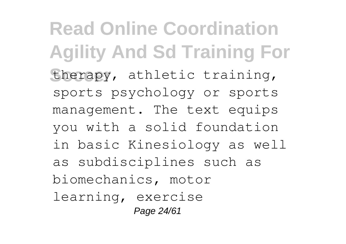**Read Online Coordination Agility And Sd Training For** therapy, athletic training, sports psychology or sports management. The text equips you with a solid foundation in basic Kinesiology as well as subdisciplines such as biomechanics, motor learning, exercise Page 24/61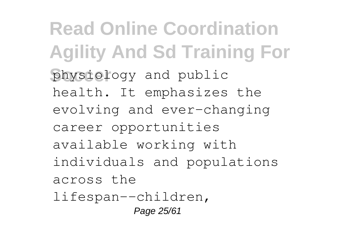**Read Online Coordination Agility And Sd Training For Soccer** physiology and public health. It emphasizes the evolving and ever-changing career opportunities available working with individuals and populations across the lifespan--children, Page 25/61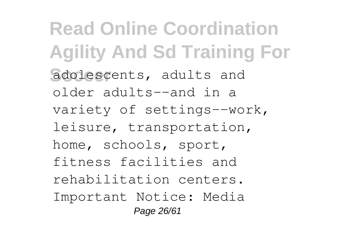**Read Online Coordination Agility And Sd Training For** adolescents, adults and older adults--and in a variety of settings--work, leisure, transportation, home, schools, sport, fitness facilities and rehabilitation centers. Important Notice: Media Page 26/61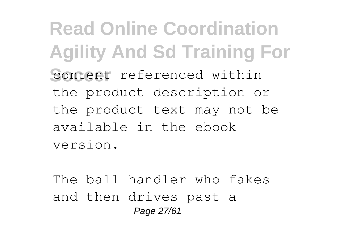**Read Online Coordination Agility And Sd Training For** content referenced within the product description or the product text may not be available in the ebook version.

The ball handler who fakes and then drives past a Page 27/61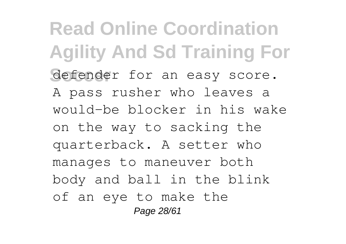**Read Online Coordination Agility And Sd Training For** defender for an easy score. A pass rusher who leaves a would-be blocker in his wake on the way to sacking the quarterback. A setter who manages to maneuver both body and ball in the blink of an eye to make the Page 28/61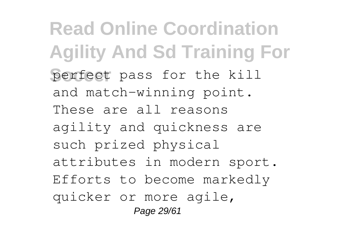**Read Online Coordination Agility And Sd Training For** perfect pass for the kill and match-winning point. These are all reasons agility and quickness are such prized physical attributes in modern sport. Efforts to become markedly quicker or more agile, Page 29/61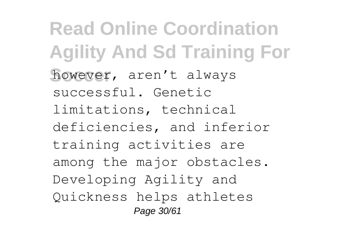**Read Online Coordination Agility And Sd Training For** however, aren't always successful. Genetic limitations, technical deficiencies, and inferior training activities are among the major obstacles. Developing Agility and Quickness helps athletes Page 30/61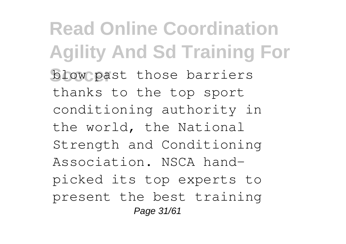**Read Online Coordination Agility And Sd Training For blow past those barriers** thanks to the top sport conditioning authority in the world, the National Strength and Conditioning Association. NSCA handpicked its top experts to present the best training Page 31/61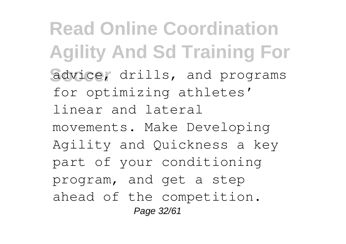**Read Online Coordination Agility And Sd Training For** advice, drills, and programs for optimizing athletes' linear and lateral movements. Make Developing Agility and Quickness a key part of your conditioning program, and get a step ahead of the competition. Page 32/61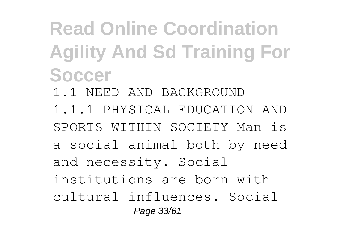# **Read Online Coordination Agility And Sd Training For Soccer**

- 1.1 NEED AND BACKGROUND
- 1.1.1 PHYSICAL EDUCATION AND SPORTS WITHIN SOCIETY Man is a social animal both by need and necessity. Social institutions are born with cultural influences. Social Page 33/61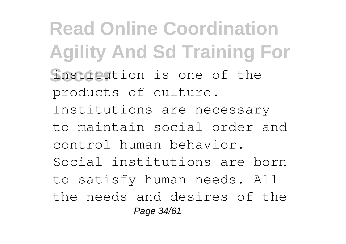**Read Online Coordination Agility And Sd Training For** Institution is one of the products of culture. Institutions are necessary to maintain social order and control human behavior. Social institutions are born to satisfy human needs. All the needs and desires of the Page 34/61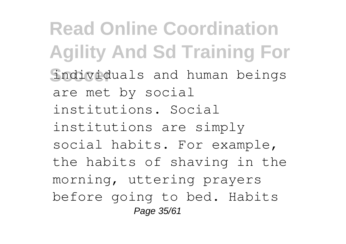**Read Online Coordination Agility And Sd Training For Soccer** individuals and human beings are met by social institutions. Social institutions are simply social habits. For example, the habits of shaving in the morning, uttering prayers before going to bed. Habits Page 35/61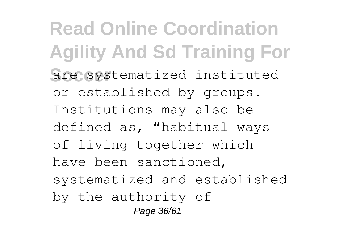**Read Online Coordination Agility And Sd Training For** are systematized instituted or established by groups. Institutions may also be defined as, "habitual ways of living together which have been sanctioned, systematized and established by the authority of Page 36/61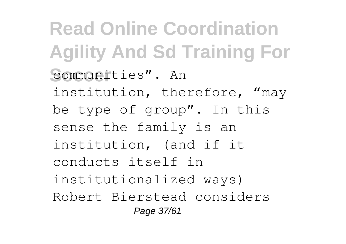**Read Online Coordination Agility And Sd Training For Soccer** communities". An institution, therefore, "may be type of group". In this sense the family is an institution, (and if it conducts itself in institutionalized ways) Robert Bierstead considers Page 37/61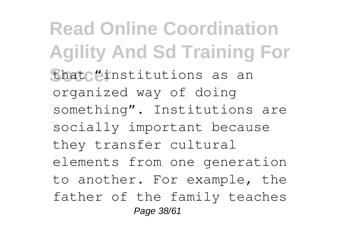**Read Online Coordination Agility And Sd Training For** that "institutions as an organized way of doing something". Institutions are socially important because they transfer cultural elements from one generation to another. For example, the father of the family teaches Page 38/61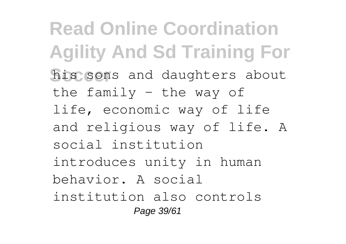**Read Online Coordination Agility And Sd Training For** his sons and daughters about the family  $-$  the way of life, economic way of life and religious way of life. A social institution introduces unity in human behavior. A social institution also controls Page 39/61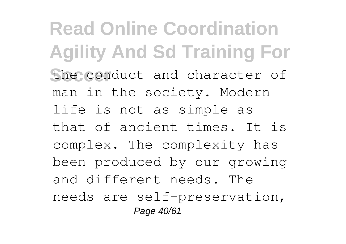**Read Online Coordination Agility And Sd Training For** the conduct and character of man in the society. Modern life is not as simple as that of ancient times. It is complex. The complexity has been produced by our growing and different needs. The needs are self-preservation, Page 40/61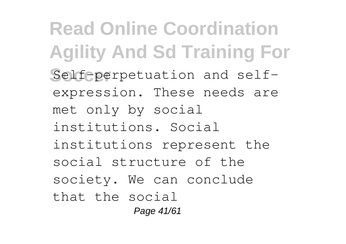**Read Online Coordination Agility And Sd Training For** Self-perpetuation and selfexpression. These needs are met only by social institutions. Social institutions represent the social structure of the society. We can conclude that the social Page 41/61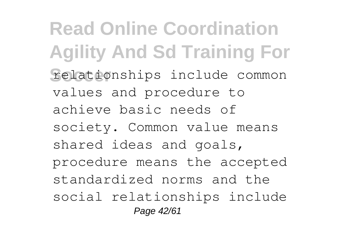**Read Online Coordination Agility And Sd Training For** relationships include common values and procedure to achieve basic needs of society. Common value means shared ideas and goals, procedure means the accepted standardized norms and the social relationships include Page 42/61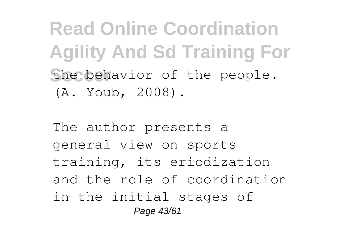**Read Online Coordination Agility And Sd Training For** the behavior of the people. (A. Youb, 2008).

The author presents a general view on sports training, its eriodization and the role of coordination in the initial stages of Page 43/61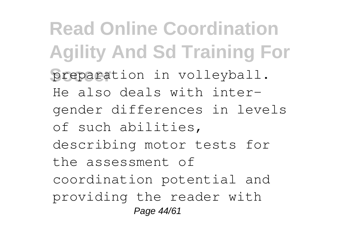**Read Online Coordination Agility And Sd Training For** preparation in volleyball. He also deals with intergender differences in levels of such abilities, describing motor tests for the assessment of coordination potential and providing the reader with Page 44/61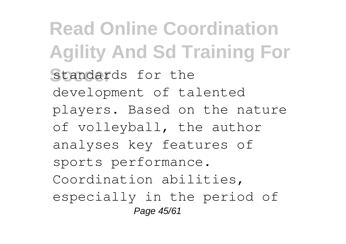**Read Online Coordination Agility And Sd Training For** standards for the development of talented players. Based on the nature of volleyball, the author analyses key features of sports performance. Coordination abilities, especially in the period of Page 45/61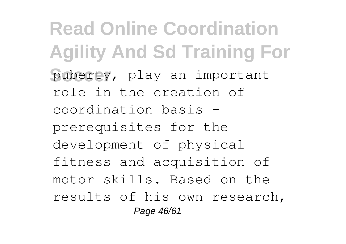**Read Online Coordination Agility And Sd Training For** puberty, play an important role in the creation of coordination basis – prerequisites for the development of physical fitness and acquisition of motor skills. Based on the results of his own research, Page 46/61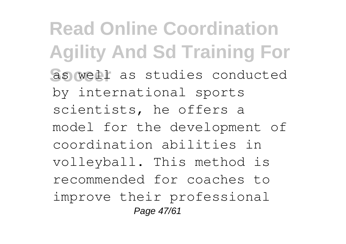**Read Online Coordination Agility And Sd Training For** as well as studies conducted by international sports scientists, he offers a model for the development of coordination abilities in volleyball. This method is recommended for coaches to improve their professional Page 47/61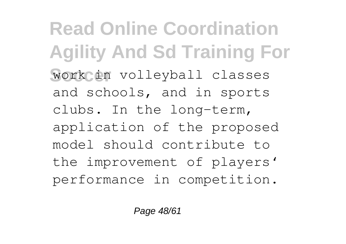**Read Online Coordination Agility And Sd Training For Work in volleyball classes** and schools, and in sports clubs. In the long-term, application of the proposed model should contribute to the improvement of players' performance in competition.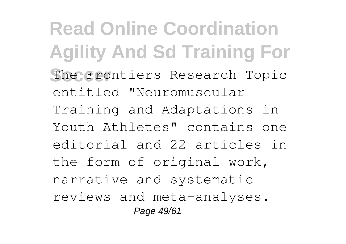**Read Online Coordination Agility And Sd Training For** The Frontiers Research Topic entitled "Neuromuscular Training and Adaptations in Youth Athletes" contains one editorial and 22 articles in the form of original work, narrative and systematic reviews and meta-analyses. Page 49/61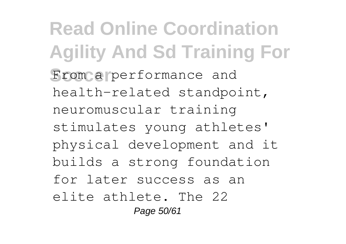**Read Online Coordination Agility And Sd Training For** From a performance and health-related standpoint, neuromuscular training stimulates young athletes' physical development and it builds a strong foundation for later success as an elite athlete. The 22 Page 50/61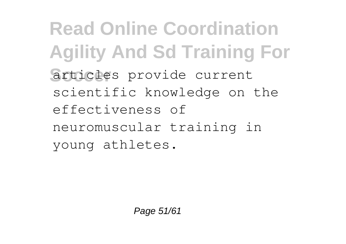**Read Online Coordination Agility And Sd Training For** articles provide current scientific knowledge on the effectiveness of neuromuscular training in young athletes.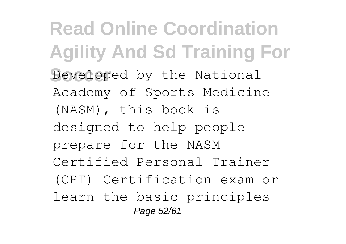**Read Online Coordination Agility And Sd Training For** Developed by the National Academy of Sports Medicine (NASM), this book is designed to help people prepare for the NASM Certified Personal Trainer (CPT) Certification exam or learn the basic principles Page 52/61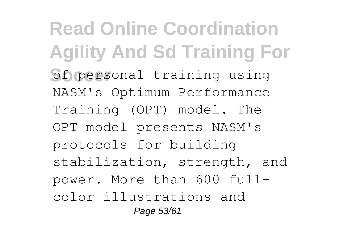**Read Online Coordination Agility And Sd Training For** of personal training using NASM's Optimum Performance Training (OPT) model. The OPT model presents NASM's protocols for building stabilization, strength, and power. More than 600 fullcolor illustrations and Page 53/61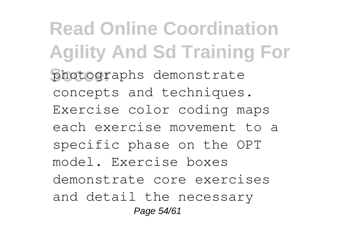**Read Online Coordination Agility And Sd Training For** photographs demonstrate concepts and techniques. Exercise color coding maps each exercise movement to a specific phase on the OPT model. Exercise boxes demonstrate core exercises and detail the necessary Page 54/61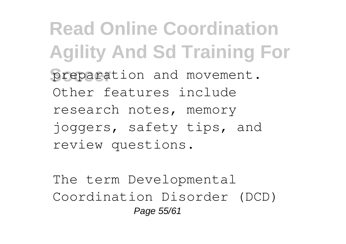**Read Online Coordination Agility And Sd Training For** preparation and movement. Other features include research notes, memory joggers, safety tips, and review questions.

The term Developmental Coordination Disorder (DCD) Page 55/61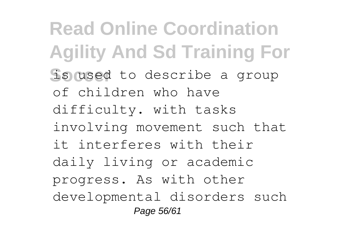**Read Online Coordination Agility And Sd Training For Solused** to describe a group of children who have difficulty. with tasks involving movement such that it interferes with their daily living or academic progress. As with other developmental disorders such Page 56/61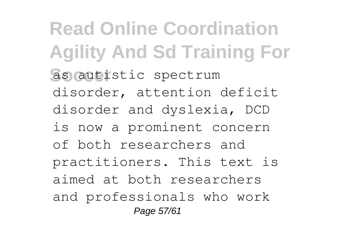**Read Online Coordination Agility And Sd Training For** as autistic spectrum disorder, attention deficit disorder and dyslexia, DCD is now a prominent concern of both researchers and practitioners. This text is aimed at both researchers and professionals who work Page 57/61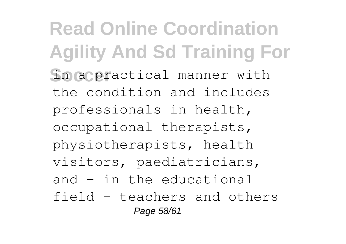**Read Online Coordination Agility And Sd Training For** in a practical manner with the condition and includes professionals in health, occupational therapists, physiotherapists, health visitors, paediatricians, and - in the educational field - teachers and others Page 58/61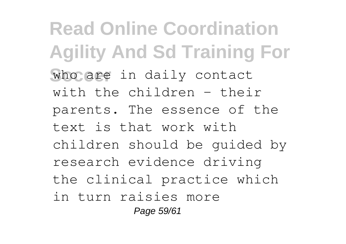**Read Online Coordination Agility And Sd Training For** who are in daily contact with the children - their parents. The essence of the text is that work with children should be guided by research evidence driving the clinical practice which in turn raisies more Page 59/61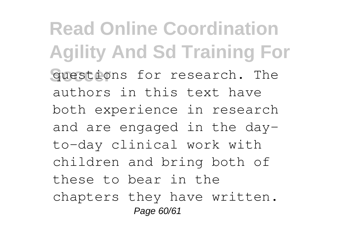**Read Online Coordination Agility And Sd Training For** questions for research. The authors in this text have both experience in research and are engaged in the dayto-day clinical work with children and bring both of these to bear in the chapters they have written. Page 60/61